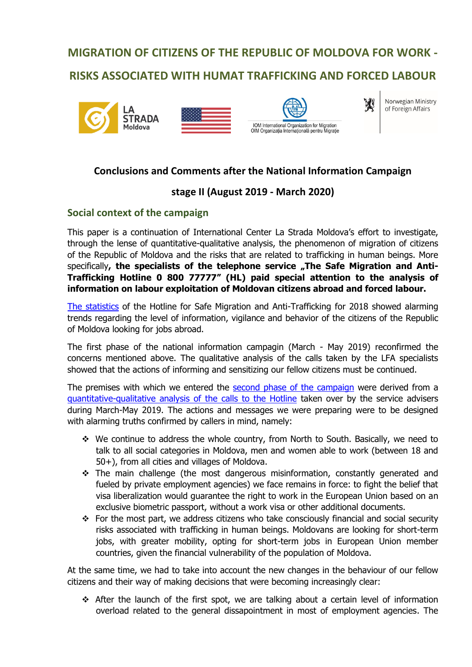# **MIGRATION OF CITIZENS OF THE REPUBLIC OF MOLDOVA FOR WORK - RISKS ASSOCIATED WITH HUMAT TRAFFICKING AND FORCED LABOUR**







Norwegian Ministry of Foreign Affairs

W

# **Conclusions and Comments after the National Information Campaign**

# **stage II (August 2019 - March 2020)**

## **Social context of the campaign**

This paper is a continuation of International Center La Strada Moldova's effort to investigate, through the lense of quantitative-qualitative analysis, the phenomenon of migration of citizens of the Republic of Moldova and the risks that are related to trafficking in human beings. More specifically, the specialists of the telephone service "The Safe Migration and Anti-**Trafficking Hotline 0 800 77777" (HL) paid special attention to the analysis of information on labour exploitation of Moldovan citizens abroad and forced labour.**

The statistics of the Hotline for Safe Migration and Anti-Trafficking for 2018 showed alarming trends regarding the level of information, vigilance and behavior of the citizens of the Republic of Moldova looking for jobs abroad.

The first phase of the national information campagin (March - May 2019) reconfirmed the concerns mentioned above. The qualitative analysis of the calls taken by the LFA specialists showed that the actions of informing and sensitizing our fellow citizens must be continued.

The premises with which we entered the second phase of the campaign were derived from a quantitative-qualitative analysis of the calls to the Hotline taken over by the service advisers during March-May 2019. The actions and messages we were preparing were to be designed with alarming truths confirmed by callers in mind, namely:

- $\div$  We continue to address the whole country, from North to South. Basically, we need to talk to all social categories in Moldova, men and women able to work (between 18 and 50+), from all cities and villages of Moldova.
- $\div$  The main challenge (the most dangerous misinformation, constantly generated and fueled by private employment agencies) we face remains in force: to fight the belief that visa liberalization would guarantee the right to work in the European Union based on an exclusive biometric passport, without a work visa or other additional documents.
- $\div$  For the most part, we address citizens who take consciously financial and social security risks associated with trafficking in human beings. Moldovans are looking for short-term jobs, with greater mobility, opting for short-term jobs in European Union member countries, given the financial vulnerability of the population of Moldova.

At the same time, we had to take into account the new changes in the behaviour of our fellow citizens and their way of making decisions that were becoming increasingly clear:

 $\div$  After the launch of the first spot, we are talking about a certain level of information overload related to the general dissapointment in most of employment agencies. The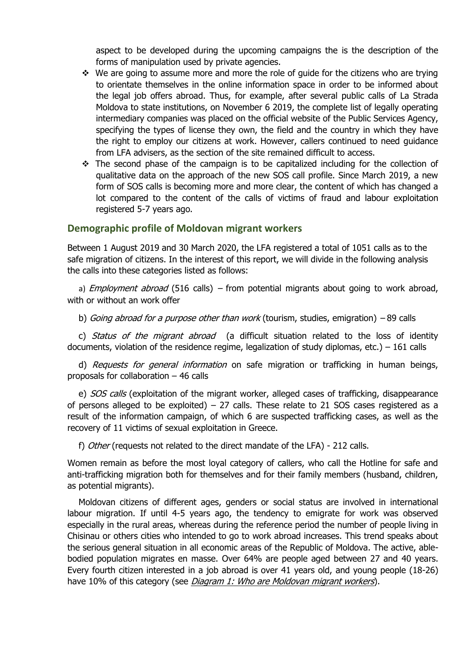aspect to be developed during the upcoming campaigns the is the description of the forms of manipulation used by private agencies.

- $\cdot$  We are going to assume more and more the role of guide for the citizens who are trying to orientate themselves in the online information space in order to be informed about the legal job offers abroad. Thus, for example, after several public calls of La Strada Moldova to state institutions, on November 6 2019, the complete list of legally operating intermediary companies was placed on the official website of the Public Services Agency, specifying the types of license they own, the field and the country in which they have the right to employ our citizens at work. However, callers continued to need guidance from LFA advisers, as the section of the site remained difficult to access.
- $\div$  The second phase of the campaign is to be capitalized including for the collection of qualitative data on the approach of the new SOS call profile. Since March 2019, a new form of SOS calls is becoming more and more clear, the content of which has changed a lot compared to the content of the calls of victims of fraud and labour exploitation registered 5-7 years ago.

#### **Demographic profile of Moldovan migrant workers**

Between 1 August 2019 and 30 March 2020, the LFA registered a total of 1051 calls as to the safe migration of citizens. In the interest of this report, we will divide in the following analysis the calls into these categories listed as follows:

a) *Employment abroad* (516 calls) – from potential migrants about going to work abroad, with or without an work offer

b) *Going abroad for a purpose other than work* (tourism, studies, emigration) – 89 calls

c) Status of the migrant abroad (a difficult situation related to the loss of identity documents, violation of the residence regime, legalization of study diplomas, etc.) – 161 calls

d) Requests for general information on safe migration or trafficking in human beings, proposals for collaboration – 46 calls

e) SOS calls (exploitation of the migrant worker, alleged cases of trafficking, disappearance of persons alleged to be exploited) – 27 calls. These relate to 21 SOS cases registered as a result of the information campaign, of which 6 are suspected trafficking cases, as well as the recovery of 11 victims of sexual exploitation in Greece.

f) Other (requests not related to the direct mandate of the LFA) - 212 calls.

Women remain as before the most loyal category of callers, who call the Hotline for safe and anti-trafficking migration both for themselves and for their family members (husband, children, as potential migrants).

Moldovan citizens of different ages, genders or social status are involved in international labour migration. If until 4-5 years ago, the tendency to emigrate for work was observed especially in the rural areas, whereas during the reference period the number of people living in Chisinau or others cities who intended to go to work abroad increases. This trend speaks about the serious general situation in all economic areas of the Republic of Moldova. The active, ablebodied population migrates en masse. Over 64% are people aged between 27 and 40 years. Every fourth citizen interested in a job abroad is over 41 years old, and young people (18-26) have 10% of this category (see Diagram 1: Who are Moldovan migrant workers).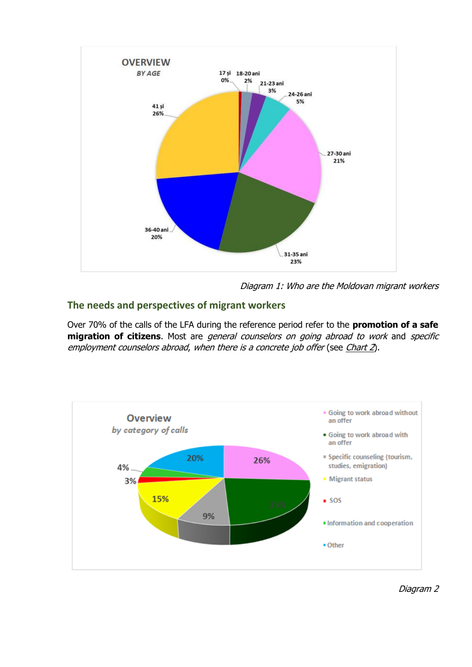

Diagram 1: Who are the Moldovan migrant workers

## **The needs and perspectives of migrant workers**

Over 70% of the calls of the LFA during the reference period refer to the **promotion of a safe migration of citizens**. Most are general counselors on going abroad to work and specific employment counselors abroad, when there is a concrete job offer (see Chart 2).

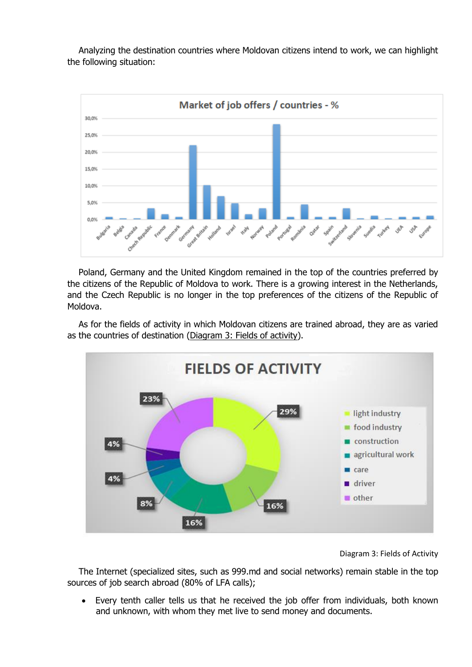Analyzing the destination countries where Moldovan citizens intend to work, we can highlight the following situation:



Poland, Germany and the United Kingdom remained in the top of the countries preferred by the citizens of the Republic of Moldova to work. There is a growing interest in the Netherlands, and the Czech Republic is no longer in the top preferences of the citizens of the Republic of Moldova.

As for the fields of activity in which Moldovan citizens are trained abroad, they are as varied as the countries of destination (Diagram 3: Fields of activity).



Diagram 3: Fields of Activity

The Internet (specialized sites, such as 999.md and social networks) remain stable in the top sources of job search abroad (80% of LFA calls);

 Every tenth caller tells us that he received the job offer from individuals, both known and unknown, with whom they met live to send money and documents.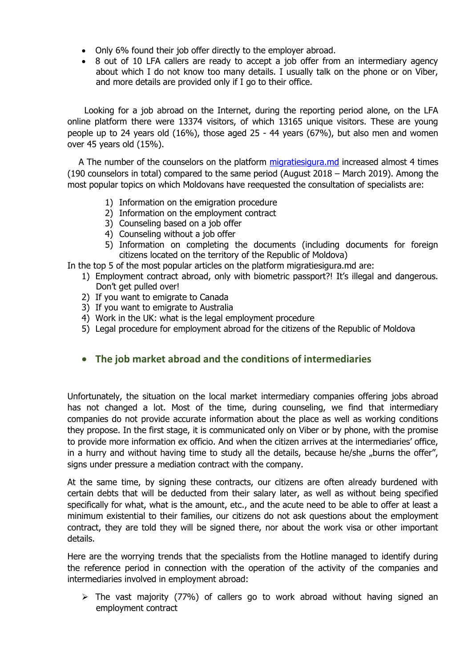- Only 6% found their job offer directly to the employer abroad.
- 8 out of 10 LFA callers are ready to accept a job offer from an intermediary agency about which I do not know too many details. I usually talk on the phone or on Viber, and more details are provided only if I go to their office.

Looking for a job abroad on the Internet, during the reporting period alone, on the LFA online platform there were 13374 visitors, of which 13165 unique visitors. These are young people up to 24 years old (16%), those aged 25 - 44 years (67%), but also men and women over 45 years old (15%).

A The number of the counselors on the platform migratiesigura.md increased almost 4 times (190 counselors in total) compared to the same period (August 2018 – March 2019). Among the most popular topics on which Moldovans have reequested the consultation of specialists are:

- 1) Information on the emigration procedure
- 2) Information on the employment contract
- 3) Counseling based on a job offer
- 4) Counseling without a job offer
- 5) Information on completing the documents (including documents for foreign citizens located on the territory of the Republic of Moldova)

In the top 5 of the most popular articles on the platform migratiesigura.md are:

- 1) Employment contract abroad, only with biometric passport?! It's illegal and dangerous. Don't get pulled over!
- 2) If you want to emigrate to Canada
- 3) If you want to emigrate to Australia
- 4) Work in the UK: what is the legal employment procedure
- 5) Legal procedure for employment abroad for the citizens of the Republic of Moldova

# **The job market abroad and the conditions of intermediaries**

Unfortunately, the situation on the local market intermediary companies offering jobs abroad has not changed a lot. Most of the time, during counseling, we find that intermediary companies do not provide accurate information about the place as well as working conditions they propose. In the first stage, it is communicated only on Viber or by phone, with the promise to provide more information ex officio. And when the citizen arrives at the intermediaries' office, in a hurry and without having time to study all the details, because he/she "burns the offer", signs under pressure a mediation contract with the company.

At the same time, by signing these contracts, our citizens are often already burdened with certain debts that will be deducted from their salary later, as well as without being specified specifically for what, what is the amount, etc., and the acute need to be able to offer at least a minimum existential to their families, our citizens do not ask questions about the employment contract, they are told they will be signed there, nor about the work visa or other important details.

Here are the worrying trends that the specialists from the Hotline managed to identify during the reference period in connection with the operation of the activity of the companies and intermediaries involved in employment abroad:

 $\triangleright$  The vast majority (77%) of callers go to work abroad without having signed an employment contract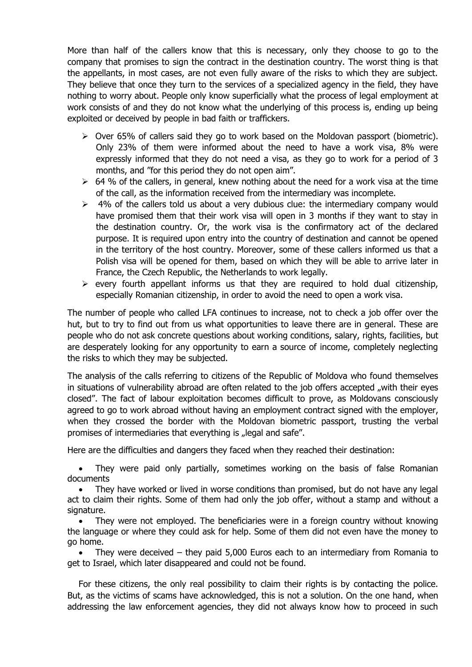More than half of the callers know that this is necessary, only they choose to go to the company that promises to sign the contract in the destination country. The worst thing is that the appellants, in most cases, are not even fully aware of the risks to which they are subject. They believe that once they turn to the services of a specialized agency in the field, they have nothing to worry about. People only know superficially what the process of legal employment at work consists of and they do not know what the underlying of this process is, ending up being exploited or deceived by people in bad faith or traffickers.

- $\triangleright$  Over 65% of callers said they go to work based on the Moldovan passport (biometric). Only 23% of them were informed about the need to have a work visa, 8% were expressly informed that they do not need a visa, as they go to work for a period of 3 months, and "for this period they do not open aim".
- $\geq$  64 % of the callers, in general, knew nothing about the need for a work visa at the time of the call, as the information received from the intermediary was incomplete.
- $\geq$  4% of the callers told us about a very dubious clue: the intermediary company would have promised them that their work visa will open in 3 months if they want to stay in the destination country. Or, the work visa is the confirmatory act of the declared purpose. It is required upon entry into the country of destination and cannot be opened in the territory of the host country. Moreover, some of these callers informed us that a Polish visa will be opened for them, based on which they will be able to arrive later in France, the Czech Republic, the Netherlands to work legally.
- $\triangleright$  every fourth appellant informs us that they are required to hold dual citizenship, especially Romanian citizenship, in order to avoid the need to open a work visa.

The number of people who called LFA continues to increase, not to check a job offer over the hut, but to try to find out from us what opportunities to leave there are in general. These are people who do not ask concrete questions about working conditions, salary, rights, facilities, but are desperately looking for any opportunity to earn a source of income, completely neglecting the risks to which they may be subjected.

The analysis of the calls referring to citizens of the Republic of Moldova who found themselves in situations of vulnerability abroad are often related to the job offers accepted "with their eyes closed". The fact of labour exploitation becomes difficult to prove, as Moldovans consciously agreed to go to work abroad without having an employment contract signed with the employer, when they crossed the border with the Moldovan biometric passport, trusting the verbal promises of intermediaries that everything is "legal and safe".

Here are the difficulties and dangers they faced when they reached their destination:

 They were paid only partially, sometimes working on the basis of false Romanian documents

• They have worked or lived in worse conditions than promised, but do not have any legal act to claim their rights. Some of them had only the job offer, without a stamp and without a signature.

• They were not employed. The beneficiaries were in a foreign country without knowing the language or where they could ask for help. Some of them did not even have the money to go home.

 They were deceived – they paid 5,000 Euros each to an intermediary from Romania to get to Israel, which later disappeared and could not be found.

For these citizens, the only real possibility to claim their rights is by contacting the police. But, as the victims of scams have acknowledged, this is not a solution. On the one hand, when addressing the law enforcement agencies, they did not always know how to proceed in such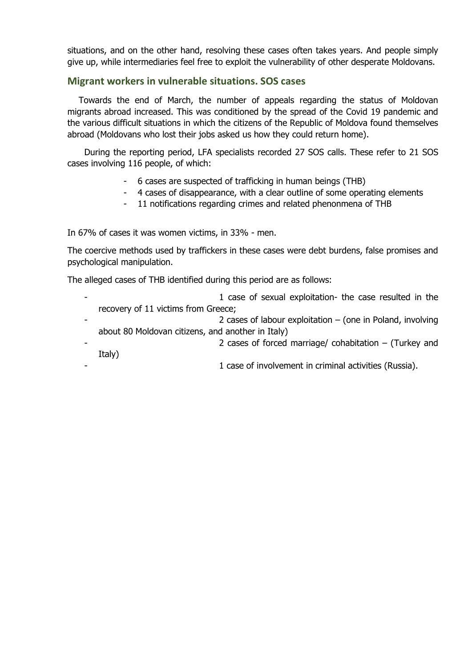situations, and on the other hand, resolving these cases often takes years. And people simply give up, while intermediaries feel free to exploit the vulnerability of other desperate Moldovans.

#### **Migrant workers in vulnerable situations. SOS cases**

Towards the end of March, the number of appeals regarding the status of Moldovan migrants abroad increased. This was conditioned by the spread of the Covid 19 pandemic and the various difficult situations in which the citizens of the Republic of Moldova found themselves abroad (Moldovans who lost their jobs asked us how they could return home).

During the reporting period, LFA specialists recorded 27 SOS calls. These refer to 21 SOS cases involving 116 people, of which:

- 6 cases are suspected of trafficking in human beings (THB)
- 4 cases of disappearance, with a clear outline of some operating elements
- 11 notifications regarding crimes and related phenonmena of THB

In 67% of cases it was women victims, in 33% - men.

The coercive methods used by traffickers in these cases were debt burdens, false promises and psychological manipulation.

The alleged cases of THB identified during this period are as follows:

- 1 case of sexual exploitation- the case resulted in the recovery of 11 victims from Greece;
	- 2 cases of labour exploitation  $-$  (one in Poland, involving about 80 Moldovan citizens, and another in Italy)
	- 2 cases of forced marriage/ cohabitation  $-$  (Turkey and Italy)
		- 1 case of involvement in criminal activities (Russia).